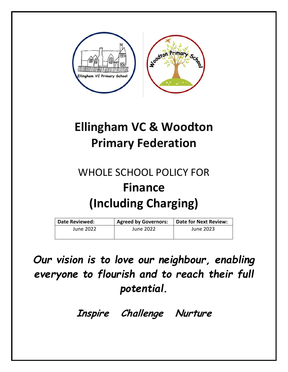

# **Ellingham VC & Woodton Primary Federation**

# WHOLE SCHOOL POLICY FOR **Finance (Including Charging)**

| Date Reviewed: | <b>Agreed by Governors:</b> | Date for Next Review: |
|----------------|-----------------------------|-----------------------|
| June 2022      | June 2022                   | June 2023             |
|                |                             |                       |

*Our vision is to love our neighbour, enabling everyone to flourish and to reach their full potential.* 

**Inspire Challenge Nurture**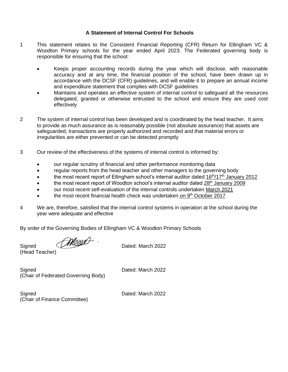#### **A Statement of Internal Control For Schools**

- 1 This statement relates to the Consistent Financial Reporting (CFR) Return for Ellingham VC & Woodton Primary schools for the year ended April 2023. The Federated governing body is responsible for ensuring that the school:
	- Keeps proper accounting records during the year which will disclose, with reasonable accuracy and at any time, the financial position of the school, have been drawn up in accordance with the DCSF (CFR) guidelines, and will enable it to prepare an annual income and expenditure statement that complies with DCSF guidelines
	- Maintains and operates an effective system of internal control to safeguard all the resources delegated, granted or otherwise entrusted to the school and ensure they are used cost effectively
- 2 The system of internal control has been developed and is coordinated by the head teacher. It aims to provide as much assurance as is reasonably possible (not absolute assurance) that assets are safeguarded, transactions are properly authorized and recorded and that material errors or irregularities are either prevented or can be detected promptly
- 3 Our review of the effectiveness of the systems of internal control is informed by:
	- our regular scrutiny of financial and other performance monitoring data
	- regular reports from the head teacher and other managers to the governing body
	- the most recent report of Ellingham school's internal auditor dated 16<sup>th</sup>/17<sup>th</sup> January 2012
	- the most recent report of Woodton school's internal auditor dated 28<sup>th</sup> January 2009
	- our most recent self-evaluation of the internal controls undertaken March 2021
	- the most recent financial health check was undertaken on 9<sup>th</sup> October 2017
- 4 We are, therefore, satisfied that the internal control systems in operation at the school during the year were adequate and effective

By order of the Governing Bodies of Ellingham VC & Woodton Primary Schools

Signed *(Mond*). Dated: March 2022

(Head Teacher)

Signed **Dated:** March 2022 (Chair of Federated Governing Body)

Signed **Dated:** March 2022 (Chair of Finance Committee)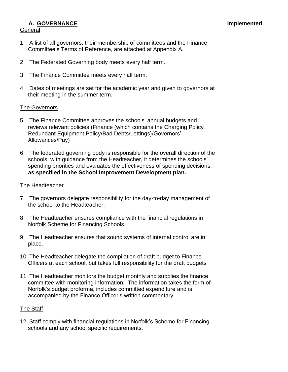#### **A. GOVERNANCE Implemented** General

#### 1 A list of all governors, their membership of committees and the Finance Committee's Terms of Reference, are attached at Appendix A.

- 2 The Federated Governing body meets every half term.
- 3 The Finance Committee meets every half term.
- 4 Dates of meetings are set for the academic year and given to governors at their meeting in the summer term.

#### The Governors

- 5 The Finance Committee approves the schools' annual budgets and reviews relevant policies (Finance (which contains the Charging Policy Redundant Equipment Policy/Bad Debts/Lettings}/Governors' Allowances/Pay)
- 6 The federated governing body is responsible for the overall direction of the schools; with guidance from the Headteacher, it determines the schools' spending priorities and evaluates the effectiveness of spending decisions, **as specified in the School Improvement Development plan.**

#### The Headteacher

- 7 The governors delegate responsibility for the day-to-day management of the school to the Headteacher.
- 8 The Headteacher ensures compliance with the financial regulations in Norfolk Scheme for Financing Schools.
- 9 The Headteacher ensures that sound systems of internal control are in place.
- 10 The Headteacher delegate the compilation of draft budget to Finance Officers at each school, but takes full responsibility for the draft budgets
- 11 The Headteacher monitors the budget monthly and supplies the finance committee with monitoring information. The information takes the form of Norfolk's budget proforma, includes committed expenditure and is accompanied by the Finance Officer's written commentary.

#### The Staff

12 Staff comply with financial regulations in Norfolk's Scheme for Financing schools and any school specific requirements.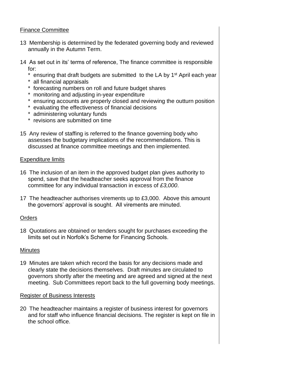#### Finance Committee

- 13 Membership is determined by the federated governing body and reviewed annually in the Autumn Term.
- 14 As set out in its' terms of reference, The finance committee is responsible for:
	- \* ensuring that draft budgets are submitted to the LA by 1<sup>st</sup> April each year
	- \* all financial appraisals
	- \* forecasting numbers on roll and future budget shares
	- \* monitoring and adjusting in-year expenditure
	- \* ensuring accounts are properly closed and reviewing the outturn position
	- \* evaluating the effectiveness of financial decisions
	- \* administering voluntary funds
	- \* revisions are submitted on time
- 15 Any review of staffing is referred to the finance governing body who assesses the budgetary implications of the recommendations. This is discussed at finance committee meetings and then implemented.

#### Expenditure limits

- 16 The inclusion of an item in the approved budget plan gives authority to spend, save that the headteacher seeks approval from the finance committee for any individual transaction in excess of *£3,000*.
- 17 The headteacher authorises virements up to £3,000. Above this amount the governors' approval is sought. All virements are minuted.

#### **Orders**

18 Quotations are obtained or tenders sought for purchases exceeding the limits set out in Norfolk's Scheme for Financing Schools.

#### **Minutes**

19 Minutes are taken which record the basis for any decisions made and clearly state the decisions themselves. Draft minutes are circulated to governors shortly after the meeting and are agreed and signed at the next meeting. Sub Committees report back to the full governing body meetings.

#### Register of Business Interests

20 The headteacher maintains a register of business interest for governors and for staff who influence financial decisions. The register is kept on file in the school office.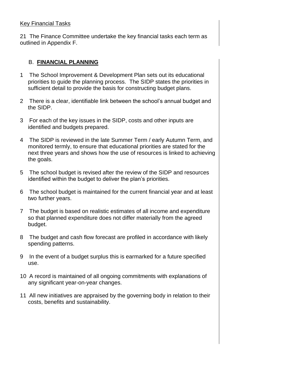#### Key Financial Tasks

21 The Finance Committee undertake the key financial tasks each term as outlined in Appendix F.

#### B. **FINANCIAL PLANNING**

- 1 The School Improvement & Development Plan sets out its educational priorities to guide the planning process. The SIDP states the priorities in sufficient detail to provide the basis for constructing budget plans.
- 2 There is a clear, identifiable link between the school's annual budget and the SIDP.
- 3 For each of the key issues in the SIDP, costs and other inputs are identified and budgets prepared.
- 4 The SIDP is reviewed in the late Summer Term / early Autumn Term, and monitored termly, to ensure that educational priorities are stated for the next three years and shows how the use of resources is linked to achieving the goals.
- 5 The school budget is revised after the review of the SIDP and resources identified within the budget to deliver the plan's priorities.
- 6 The school budget is maintained for the current financial year and at least two further years.
- 7 The budget is based on realistic estimates of all income and expenditure so that planned expenditure does not differ materially from the agreed budget.
- 8 The budget and cash flow forecast are profiled in accordance with likely spending patterns.
- 9 In the event of a budget surplus this is earmarked for a future specified use.
- 10 A record is maintained of all ongoing commitments with explanations of any significant year-on-year changes.
- 11 All new initiatives are appraised by the governing body in relation to their costs, benefits and sustainability.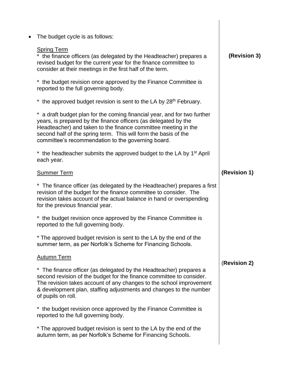| $\bullet$ | The budget cycle is as follows:                                                                                                                                                                                                                                                                                                      |              |
|-----------|--------------------------------------------------------------------------------------------------------------------------------------------------------------------------------------------------------------------------------------------------------------------------------------------------------------------------------------|--------------|
|           | <b>Spring Term</b><br>the finance officers (as delegated by the Headteacher) prepares a<br>revised budget for the current year for the finance committee to<br>consider at their meetings in the first half of the term.                                                                                                             | (Revision 3) |
|           | * the budget revision once approved by the Finance Committee is<br>reported to the full governing body.                                                                                                                                                                                                                              |              |
|           | * the approved budget revision is sent to the LA by 28 <sup>th</sup> February.                                                                                                                                                                                                                                                       |              |
|           | a draft budget plan for the coming financial year, and for two further<br>years, is prepared by the finance officers (as delegated by the<br>Headteacher) and taken to the finance committee meeting in the<br>second half of the spring term. This will form the basis of the<br>committee's recommendation to the governing board. |              |
|           | * the headteacher submits the approved budget to the LA by 1 <sup>st</sup> April<br>each year.                                                                                                                                                                                                                                       |              |
|           | <b>Summer Term</b>                                                                                                                                                                                                                                                                                                                   | (Revision 1) |
|           | * The finance officer (as delegated by the Headteacher) prepares a first<br>revision of the budget for the finance committee to consider. The<br>revision takes account of the actual balance in hand or overspending<br>for the previous financial year.                                                                            |              |
|           | the budget revision once approved by the Finance Committee is<br>$\star$<br>reported to the full governing body.                                                                                                                                                                                                                     |              |
|           | * The approved budget revision is sent to the LA by the end of the<br>summer term, as per Norfolk's Scheme for Financing Schools.                                                                                                                                                                                                    |              |
|           | <b>Autumn Term</b>                                                                                                                                                                                                                                                                                                                   | (Revision 2) |
|           | * The finance officer (as delegated by the Headteacher) prepares a<br>second revision of the budget for the finance committee to consider.<br>The revision takes account of any changes to the school improvement<br>& development plan, staffing adjustments and changes to the number<br>of pupils on roll.                        |              |
|           | * the budget revision once approved by the Finance Committee is<br>reported to the full governing body.                                                                                                                                                                                                                              |              |
|           | * The approved budget revision is sent to the LA by the end of the<br>autumn term, as per Norfolk's Scheme for Financing Schools.                                                                                                                                                                                                    |              |
|           |                                                                                                                                                                                                                                                                                                                                      |              |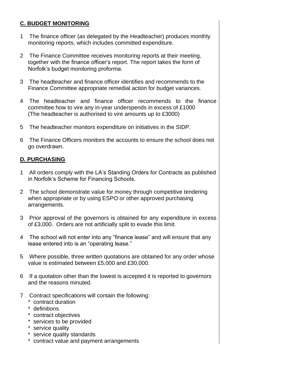#### **C. BUDGET MONITORING**

- 1 The finance officer (as delegated by the Headteacher) produces monthly monitoring reports, which includes committed expenditure.
- 2 The Finance Committee receives monitoring reports at their meeting, together with the finance officer's report. The report takes the form of Norfolk's budget monitoring proforma.
- 3 The headteacher and finance officer identifies and recommends to the Finance Committee appropriate remedial action for budget variances.
- 4 The headteacher and finance officer recommends to the finance committee how to vire any in-year underspends in excess of £1000 (The headteacher is authorised to vire amounts up to £3000)
- 5 The headteacher monitors expenditure on initiatives in the SIDP.
- 6 The Finance Officers monitors the accounts to ensure the school does not go overdrawn.

#### **D. PURCHASING**

- 1 All orders comply with the LA's Standing Orders for Contracts as published in Norfolk's Scheme for Financing Schools.
- 2 The school demonstrate value for money through competitive tendering when appropriate or by using ESPO or other approved purchasing arrangements.
- 3 Prior approval of the governors is obtained for any expenditure in excess of £3,000. Orders are not artificially split to evade this limit.
- 4 The school will not enter into any "finance lease" and will ensure that any lease entered into is an "operating lease."
- 5 Where possible, three written quotations are obtained for any order whose value is estimated between £5,000 and £30,000.
- 6 If a quotation other than the lowest is accepted it is reported to governors and the reasons minuted.
- 7 Contract specifications will contain the following:
	- \* contract duration
	- \* definitions
	- \* contract objectives
	- \* services to be provided
	- \* service quality
	- \* service quality standards
	- \* contract value and payment arrangements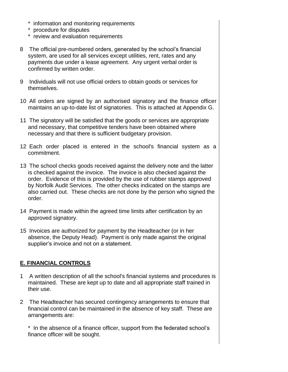- \* information and monitoring requirements
- \* procedure for disputes
- \* review and evaluation requirements
- 8 The official pre-numbered orders, generated by the school's financial system, are used for all services except utilities, rent, rates and any payments due under a lease agreement. Any urgent verbal order is confirmed by written order.
- 9 Individuals will not use official orders to obtain goods or services for themselves.
- 10 All orders are signed by an authorised signatory and the finance officer maintains an up-to-date list of signatories. This is attached at Appendix G.
- 11 The signatory will be satisfied that the goods or services are appropriate and necessary, that competitive tenders have been obtained where necessary and that there is sufficient budgetary provision.
- 12 Each order placed is entered in the school's financial system as a commitment.
- 13 The school checks goods received against the delivery note and the latter is checked against the invoice. The invoice is also checked against the order. Evidence of this is provided by the use of rubber stamps approved by Norfolk Audit Services. The other checks indicated on the stamps are also carried out. These checks are not done by the person who signed the order.
- 14 Payment is made within the agreed time limits after certification by an approved signatory.
- 15 Invoices are authorized for payment by the Headteacher (or in her absence, the Deputy Head). Payment is only made against the original supplier's invoice and not on a statement.

#### **E. FINANCIAL CONTROLS**

- 1 A written description of all the school's financial systems and procedures is maintained. These are kept up to date and all appropriate staff trained in their use.
- 2 The Headteacher has secured contingency arrangements to ensure that financial control can be maintained in the absence of key staff. These are arrangements are:

\* In the absence of a finance officer, support from the federated school's finance officer will be sought.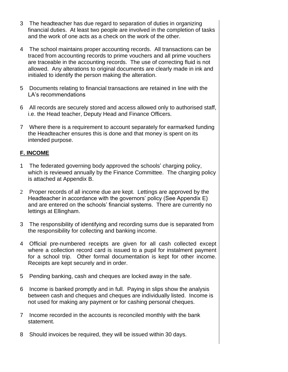- 3 The headteacher has due regard to separation of duties in organizing financial duties. At least two people are involved in the completion of tasks and the work of one acts as a check on the work of the other.
- 4 The school maintains proper accounting records. All transactions can be traced from accounting records to prime vouchers and all prime vouchers are traceable in the accounting records. The use of correcting fluid is not allowed. Any alterations to original documents are clearly made in ink and initialed to identify the person making the alteration.
- 5 Documents relating to financial transactions are retained in line with the LA's recommendations
- 6 All records are securely stored and access allowed only to authorised staff, i.e. the Head teacher, Deputy Head and Finance Officers.
- 7 Where there is a requirement to account separately for earmarked funding the Headteacher ensures this is done and that money is spent on its intended purpose.

#### **F. INCOME**

- 1 The federated governing body approved the schools' charging policy, which is reviewed annually by the Finance Committee. The charging policy is attached at Appendix B.
- 2 Proper records of all income due are kept. Lettings are approved by the Headteacher in accordance with the governors' policy (See Appendix E) and are entered on the schools' financial systems. There are currently no lettings at Ellingham.
- 3 The responsibility of identifying and recording sums due is separated from the responsibility for collecting and banking income.
- 4 Official pre-numbered receipts are given for all cash collected except where a collection record card is issued to a pupil for instalment payment for a school trip. Other formal documentation is kept for other income. Receipts are kept securely and in order.
- 5 Pending banking, cash and cheques are locked away in the safe.
- 6 Income is banked promptly and in full. Paying in slips show the analysis between cash and cheques and cheques are individually listed. Income is not used for making any payment or for cashing personal cheques.
- 7 Income recorded in the accounts is reconciled monthly with the bank statement.
- 8 Should invoices be required, they will be issued within 30 days.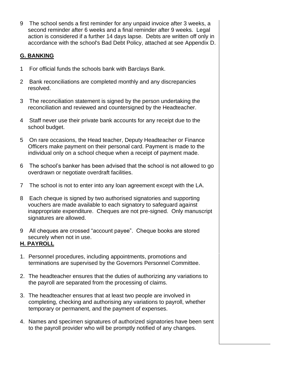9 The school sends a first reminder for any unpaid invoice after 3 weeks, a second reminder after 6 weeks and a final reminder after 9 weeks. Legal action is considered if a further 14 days lapse. Debts are written off only in accordance with the school's Bad Debt Policy, attached at see Appendix D.

#### **G. BANKING**

- 1 For official funds the schools bank with Barclays Bank.
- 2 Bank reconciliations are completed monthly and any discrepancies resolved.
- 3 The reconciliation statement is signed by the person undertaking the reconciliation and reviewed and countersigned by the Headteacher.
- 4 Staff never use their private bank accounts for any receipt due to the school budget.
- 5 On rare occasions, the Head teacher, Deputy Headteacher or Finance Officers make payment on their personal card. Payment is made to the individual only on a school cheque when a receipt of payment made.
- 6 The school's banker has been advised that the school is not allowed to go overdrawn or negotiate overdraft facilities.
- 7 The school is not to enter into any loan agreement except with the LA.
- 8 Each cheque is signed by two authorised signatories and supporting vouchers are made available to each signatory to safeguard against inappropriate expenditure. Cheques are not pre-signed. Only manuscript signatures are allowed.
- 9 All cheques are crossed "account payee". Cheque books are stored securely when not in use.

#### **H. PAYROLL**

- 1. Personnel procedures, including appointments, promotions and terminations are supervised by the Governors Personnel Committee.
- 2. The headteacher ensures that the duties of authorizing any variations to the payroll are separated from the processing of claims.
- 3. The headteacher ensures that at least two people are involved in completing, checking and authorising any variations to payroll, whether temporary or permanent, and the payment of expenses.
- 4. Names and specimen signatures of authorized signatories have been sent to the payroll provider who will be promptly notified of any changes.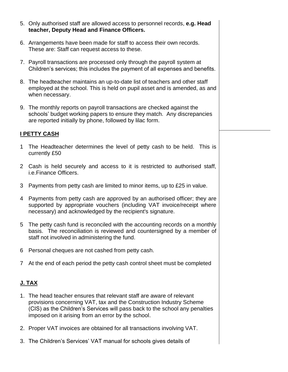- 5. Only authorised staff are allowed access to personnel records, **e.g. Head teacher, Deputy Head and Finance Officers.**
- 6. Arrangements have been made for staff to access their own records. These are: Staff can request access to these.
- 7. Payroll transactions are processed only through the payroll system at Children's services; this includes the payment of all expenses and benefits.
- 8. The headteacher maintains an up-to-date list of teachers and other staff employed at the school. This is held on pupil asset and is amended, as and when necessary.
- 9. The monthly reports on payroll transactions are checked against the schools' budget working papers to ensure they match. Any discrepancies are reported initially by phone, followed by lilac form.

#### **I PETTY CASH**

- 1 The Headteacher determines the level of petty cash to be held. This is currently £50
- 2 Cash is held securely and access to it is restricted to authorised staff, i.e.Finance Officers.
- 3 Payments from petty cash are limited to minor items, up to £25 in value.
- 4 Payments from petty cash are approved by an authorised officer; they are supported by appropriate vouchers (including VAT invoice/receipt where necessary) and acknowledged by the recipient's signature.
- 5 The petty cash fund is reconciled with the accounting records on a monthly basis. The reconciliation is reviewed and countersigned by a member of staff not involved in administering the fund.
- 6 Personal cheques are not cashed from petty cash.
- 7 At the end of each period the petty cash control sheet must be completed

#### **J. TAX**

- 1. The head teacher ensures that relevant staff are aware of relevant provisions concerning VAT, tax and the Construction Industry Scheme (CIS) as the Children's Services will pass back to the school any penalties imposed on it arising from an error by the school.
- 2. Proper VAT invoices are obtained for all transactions involving VAT.
- 3. The Children's Services' VAT manual for schools gives details of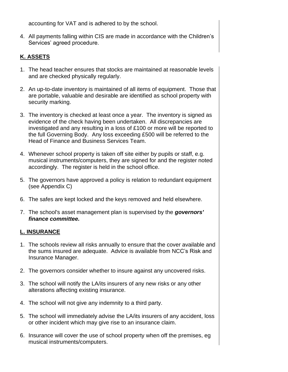accounting for VAT and is adhered to by the school.

4. All payments falling within CIS are made in accordance with the Children's Services' agreed procedure.

#### **K. ASSETS**

- 1. The head teacher ensures that stocks are maintained at reasonable levels and are checked physically regularly.
- 2. An up-to-date inventory is maintained of all items of equipment. Those that are portable, valuable and desirable are identified as school property with security marking.
- 3. The inventory is checked at least once a year. The inventory is signed as evidence of the check having been undertaken. All discrepancies are investigated and any resulting in a loss of £100 or more will be reported to the full Governing Body. Any loss exceeding £500 will be referred to the Head of Finance and Business Services Team.
- 4. Whenever school property is taken off site either by pupils or staff, e.g. musical instruments/computers, they are signed for and the register noted accordingly. The register is held in the school office.
- 5. The governors have approved a policy is relation to redundant equipment (see Appendix C)
- 6. The safes are kept locked and the keys removed and held elsewhere.
- 7. The school's asset management plan is supervised by the *governors' finance committee.*

#### **L. INSURANCE**

- 1. The schools review all risks annually to ensure that the cover available and the sums insured are adequate. Advice is available from NCC's Risk and Insurance Manager.
- 2. The governors consider whether to insure against any uncovered risks.
- 3. The school will notify the LA/its insurers of any new risks or any other alterations affecting existing insurance.
- 4. The school will not give any indemnity to a third party.
- 5. The school will immediately advise the LA/its insurers of any accident, loss or other incident which may give rise to an insurance claim.
- 6. Insurance will cover the use of school property when off the premises, eg musical instruments/computers.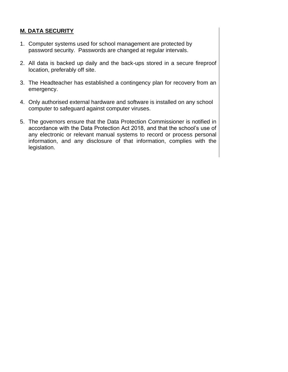#### **M. DATA SECURITY**

- 1. Computer systems used for school management are protected by password security. Passwords are changed at regular intervals.
- 2. All data is backed up daily and the back-ups stored in a secure fireproof location, preferably off site.
- 3. The Headteacher has established a contingency plan for recovery from an emergency.
- 4. Only authorised external hardware and software is installed on any school computer to safeguard against computer viruses.
- 5. The governors ensure that the Data Protection Commissioner is notified in accordance with the Data Protection Act 2018, and that the school's use of any electronic or relevant manual systems to record or process personal information, and any disclosure of that information, complies with the legislation.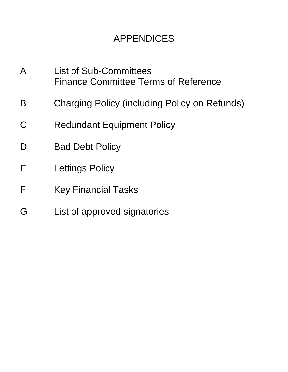## APPENDICES

- A List of Sub-Committees Finance Committee Terms of Reference
- B Charging Policy (including Policy on Refunds)
- C Redundant Equipment Policy
- D Bad Debt Policy
- E Lettings Policy
- F Key Financial Tasks
- G List of approved signatories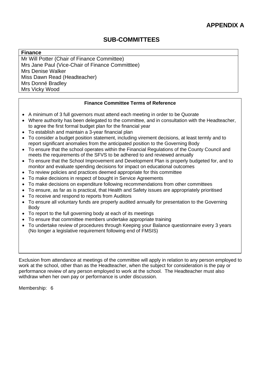#### **Finance**

Mr Will Potter (Chair of Finance Committee) Mrs Jane Paul (Vice-Chair of Finance Committtee) Mrs Denise Walker Miss Dawn Read (Headteacher) Mrs Donné Bradley Mrs Vicky Wood

#### **Finance Committee Terms of Reference**

- A minimum of 3 full governors must attend each meeting in order to be Quorate
- Where authority has been delegated to the committee, and in consultation with the Headteacher, to agree the first formal budget plan for the financial year
- To establish and maintain a 3-year financial plan
- To consider a budget position statement, including virement decisions, at least termly and to report significant anomalies from the anticipated position to the Governing Body
- To ensure that the school operates within the Financial Regulations of the County Council and meets the requirements of the SFVS to be adhered to and reviewed annually
- To ensure that the School Improvement and Development Plan is properly budgeted for, and to monitor and evaluate spending decisions for impact on educational outcomes
- To review policies and practices deemed appropriate for this committee
- To make decisions in respect of bought in Service Agreements
- To make decisions on expenditure following recommendations from other committees
- To ensure, as far as is practical, that Health and Safety issues are appropriately prioritised
- To receive and respond to reports from Auditors
- To ensure all voluntary funds are properly audited annually for presentation to the Governing Body
- To report to the full governing body at each of its meetings
- To ensure that committee members undertake appropriate training
- To undertake review of procedures through Keeping your Balance questionnaire every 3 years (No longer a legislative requirement following end of FMSIS)

Exclusion from attendance at meetings of the committee will apply in relation to any person employed to work at the school, other than as the Headteacher, when the subject for consideration is the pay or performance review of any person employed to work at the school. The Headteacher must also withdraw when her own pay or performance is under discussion.

Membership: 6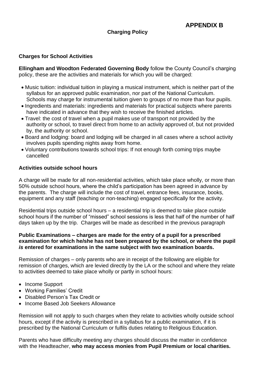#### **Charging Policy**

#### **Charges for School Activities**

**Ellingham and Woodton Federated Governing Body** follow the County Council's charging policy, these are the activities and materials for which you will be charged:

- Music tuition: individual tuition in playing a musical instrument, which is neither part of the syllabus for an approved public examination, nor part of the National Curriculum. Schools may charge for instrumental tuition given to groups of no more than four pupils.
- Ingredients and materials: ingredients and materials for practical subjects where parents have indicated in advance that they wish to receive the finished articles.
- Travel: the cost of travel when a pupil makes use of transport not provided by the authority or school, to travel direct from home to an activity approved of, but not provided by, the authority or school.
- Board and lodging: board and lodging will be charged in all cases where a school activity involves pupils spending nights away from home.
- Voluntary contributions towards school trips: If not enough forth coming trips maybe cancelled

#### **Activities outside school hours**

A charge will be made for all non-residential activities, which take place wholly, or more than 50% outside school hours, where the child's participation has been agreed in advance by the parents. The charge will include the cost of travel, entrance fees, insurance, books, equipment and any staff (teaching or non-teaching) engaged specifically for the activity.

Residential trips outside school hours – a residential trip is deemed to take place outside school hours if the number of "missed" school sessions is less that half of the number of half days taken up by the trip. Charges will be made as described in the previous paragraph

#### **Public Examinations – charges are made for the entry of a pupil for a prescribed examination for which he/she has not been prepared by the school, or where the pupil**  *is* **entered for examinations in the same subject with two examination boards.**

Remission of charges – only parents who are in receipt of the following are eligible for remission of charges, which are levied directly by the LA or the school and where they relate to activities deemed to take place wholly or partly in school hours:

- Income Support
- Working Families' Credit
- Disabled Person's Tax Credit or
- Income Based Job Seekers Allowance

Remission will not apply to such charges when they relate to activities wholly outside school hours, except if the activity is prescribed in a syllabus for a public examination, if it is prescribed by the National Curriculum or fulfils duties relating to Religious Education.

Parents who have difficulty meeting any charges should discuss the matter in confidence with the Headteacher, **who may access monies from Pupil Premium or local charities.**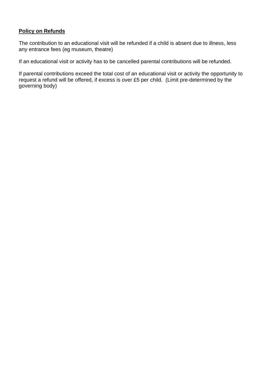#### **Policy on Refunds**

The contribution to an educational visit will be refunded if a child is absent due to illness, less any entrance fees (eg museum, theatre)

If an educational visit or activity has to be cancelled parental contributions will be refunded.

If parental contributions exceed the total cost of an educational visit or activity the opportunity to request a refund will be offered, if excess is over £5 per child. (Limit pre-determined by the governing body)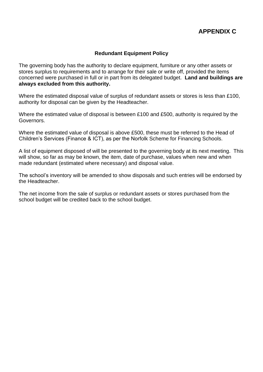#### **APPENDIX C**

#### **Redundant Equipment Policy**

The governing body has the authority to declare equipment, furniture or any other assets or stores surplus to requirements and to arrange for their sale or write off, provided the items concerned were purchased in full or in part from its delegated budget. **Land and buildings are always excluded from this authority.**

Where the estimated disposal value of surplus of redundant assets or stores is less than £100, authority for disposal can be given by the Headteacher.

Where the estimated value of disposal is between £100 and £500, authority is required by the Governors.

Where the estimated value of disposal is above £500, these must be referred to the Head of Children's Services (Finance & ICT), as per the Norfolk Scheme for Financing Schools.

A list of equipment disposed of will be presented to the governing body at its next meeting. This will show, so far as may be known, the item, date of purchase, values when new and when made redundant (estimated where necessary) and disposal value.

The school's inventory will be amended to show disposals and such entries will be endorsed by the Headteacher.

The net income from the sale of surplus or redundant assets or stores purchased from the school budget will be credited back to the school budget.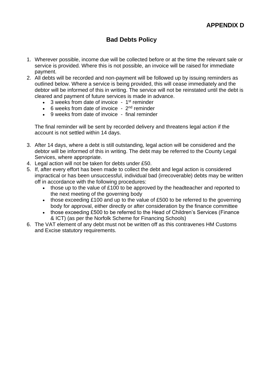### **Bad Debts Policy**

- 1. Wherever possible, income due will be collected before or at the time the relevant sale or service is provided. Where this is not possible, an invoice will be raised for immediate payment.
- 2. All debts will be recorded and non-payment will be followed up by issuing reminders as outlined below. Where a service is being provided, this will cease immediately and the debtor will be informed of this in writing. The service will not be reinstated until the debt is cleared and payment of future services is made in advance.
	- 3 weeks from date of invoice 1<sup>st</sup> reminder
	- $\bullet$  6 weeks from date of invoice  $2^{nd}$  reminder
	- 9 weeks from date of invoice final reminder

The final reminder will be sent by recorded delivery and threatens legal action if the account is not settled within 14 days.

- 3. After 14 days, where a debt is still outstanding, legal action will be considered and the debtor will be informed of this in writing. The debt may be referred to the County Legal Services, where appropriate.
- 4. Legal action will not be taken for debts under £50.
- 5. If, after every effort has been made to collect the debt and legal action is considered impractical or has been unsuccessful, individual bad (irrecoverable) debts may be written off in accordance with the following procedures:
	- those up to the value of £100 to be approved by the headteacher and reported to the next meeting of the governing body
	- those exceeding £100 and up to the value of £500 to be referred to the governing body for approval, either directly or after consideration by the finance committee
	- those exceeding £500 to be referred to the Head of Children's Services (Finance & ICT) (as per the Norfolk Scheme for Financing Schools)
- 6. The VAT element of any debt must not be written off as this contravenes HM Customs and Excise statutory requirements.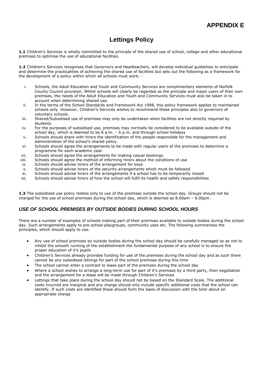#### **Lettings Policy**

**1.1** Children's Services is wholly committed to the principle of the shared use of school, college and other educational premises to optimise the use of educational facilities.

1.2 Children's Services recognises that Governors and Headteachers, will develop individual guidelines to anticipate and determine the practicalities of achieving the shared use of facilities but sets out the following as a framework for the development of a policy within which all schools must work: -

- i. Schools, the Adult Education and Youth and Community Services are complimentary elements of Norfolk County Council provision. Whilst schools will clearly be regarded as the principle and major users of their own premises, the needs of the Adult Education and Youth and Community Services must also be taken in to account when determining shared use.
- ii. In the terms of the School Standards and Framework Act 1998, this policy framework applies to maintained schools only. However, Children's Services wishes to recommend these principles also to governors of voluntary schools.
- iii. Shared/Subsidised use of premises may only be undertaken when facilities are not directly required by students.
- iv. For the purposes of subsidised use, premises may normally be considered to be available outside of the school day, which is deemed to be 8 a.m. – 6 p.m. and through school holidays
- v. Schools should share with hirers the identification of the people responsible for the management and administration of the school's shared policy.
- vi. Schools should agree the arrangements to be made with regular users of the premises to determine a programme for each academic year.
- vii. Schools should agree the arrangements for making casual bookings.
- viii. Schools should agree the method of informing hirers about the conditions of use
- ix. Schools should advise hirers of the arrangement for keys
- x. Schools should advise hirers of the security arrangements which must be followed
- xi. Schools should advise hirers of the arrangements if a school has to be temporarily closed
- xii. Schools should advise hirers of how the school will fulfil its health and safety responsibilities

**1.3** The subsidised use policy relates only to use of the premises outside the school day. Groups should not be charged for the use of school premises during the school day, which is deemed as 8.00am – 6.00pm.

#### *USE OF SCHOOL PREMISES BY OUTSIDE BODIES DURING SCHOOL HOURS*

There are a number of examples of schools making part of their premises available to outside bodies during the school day. Such arrangements apply to pre-school playgroups, community uses etc. The following summarises the principles, which should apply to use.

- Any use of school premises by outside bodies during the school day should be carefully managed so as not to inhibit the smooth running of the establishment the fundamental purpose of any school is to ensure the proper education of it's pupils
- Children's Services already provides funding for use of the premises during the school day and as such there cannot be any subsidised lettings for part of the school premises during this time
- The school cannot enter a contract to lease part of the premises during the school day
- Where a school wishes to arrange a long-term use for part of it's premises by a third party, then negotiation and the arrangement for a lease will be made through Children's Services
- Lettings that take place during the school day should not be based on the Standard Scale. The additional costs incurred are marginal and any charge should only include specific additional costs that the school can identify. If such costs are identified these should form the basis of discussion with the hirer about an appropriate charge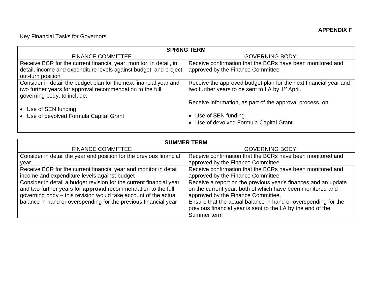### Key Financial Tasks for Governors

| <b>SPRING TERM</b>                                                 |                                                                  |  |  |  |
|--------------------------------------------------------------------|------------------------------------------------------------------|--|--|--|
| <b>FINANCE COMMITTEE</b>                                           | <b>GOVERNING BODY</b>                                            |  |  |  |
| Receive BCR for the current financial year, monitor, in detail, in | Receive confirmation that the BCRs have been monitored and       |  |  |  |
| detail, income and expenditure levels against budget, and project  | approved by the Finance Committee                                |  |  |  |
| out-turn position                                                  |                                                                  |  |  |  |
| Consider in detail the budget plan for the next financial year and | Receive the approved budget plan for the next financial year and |  |  |  |
| two further years for approval recommendation to the full          | two further years to be sent to LA by 1 <sup>st</sup> April.     |  |  |  |
| governing body, to include:                                        |                                                                  |  |  |  |
|                                                                    | Receive information, as part of the approval process, on:        |  |  |  |
| • Use of SEN funding                                               |                                                                  |  |  |  |
| • Use of devolved Formula Capital Grant                            | • Use of SEN funding                                             |  |  |  |
|                                                                    | • Use of devolved Formula Capital Grant                          |  |  |  |
|                                                                    |                                                                  |  |  |  |

| <b>SUMMER TERM</b>                                                  |                                                                |  |  |
|---------------------------------------------------------------------|----------------------------------------------------------------|--|--|
| <b>FINANCE COMMITTEE</b>                                            | <b>GOVERNING BODY</b>                                          |  |  |
| Consider in detail the year end position for the previous financial | Receive confirmation that the BCRs have been monitored and     |  |  |
| year                                                                | approved by the Finance Committee                              |  |  |
| Receive BCR for the current financial year and monitor in detail    | Receive confirmation that the BCRs have been monitored and     |  |  |
| income and expenditure levels against budget                        | approved by the Finance Committee                              |  |  |
| Consider in detail a budget revision for the current financial year | Receive a report on the previous year's finances and an update |  |  |
| and two further years for approval recommendation to the full       | on the current year, both of which have been monitored and     |  |  |
| governing body - this revision would take account of the actual     | approved by the Finance Committee.                             |  |  |
| balance in hand or overspending for the previous financial year     | Ensure that the actual balance in hand or overspending for the |  |  |
|                                                                     | previous financial year is sent to the LA by the end of the    |  |  |
|                                                                     | Summer term                                                    |  |  |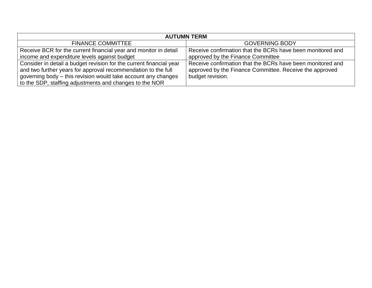| <b>AUTUMN TERM</b>                                                                                                                                                                                                                                               |                                                                                                                                           |  |  |  |
|------------------------------------------------------------------------------------------------------------------------------------------------------------------------------------------------------------------------------------------------------------------|-------------------------------------------------------------------------------------------------------------------------------------------|--|--|--|
| <b>FINANCE COMMITTEE</b>                                                                                                                                                                                                                                         | <b>GOVERNING BODY</b>                                                                                                                     |  |  |  |
| Receive BCR for the current financial year and monitor in detail                                                                                                                                                                                                 | Receive confirmation that the BCRs have been monitored and                                                                                |  |  |  |
| income and expenditure levels against budget                                                                                                                                                                                                                     | approved by the Finance Committee                                                                                                         |  |  |  |
| Consider in detail a budget revision for the current financial year<br>and two further years for approval recommendation to the full<br>governing body – this revision would take account any changes<br>to the SDP, staffing adjustments and changes to the NOR | Receive confirmation that the BCRs have been monitored and<br>approved by the Finance Committee. Receive the approved<br>budget revision. |  |  |  |